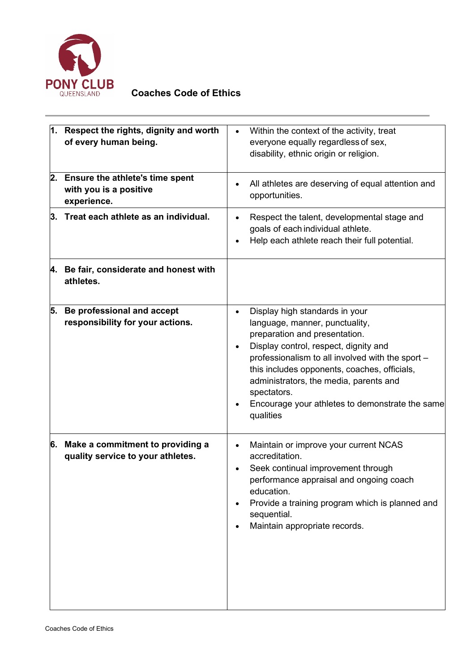

## **Coaches Code of Ethics**

|    | 1. Respect the rights, dignity and worth<br>of every human being.               | $\bullet$ | Within the context of the activity, treat<br>everyone equally regardless of sex,<br>disability, ethnic origin or religion.                                                                                                                                                                                                                                              |
|----|---------------------------------------------------------------------------------|-----------|-------------------------------------------------------------------------------------------------------------------------------------------------------------------------------------------------------------------------------------------------------------------------------------------------------------------------------------------------------------------------|
| 2. | <b>Ensure the athlete's time spent</b><br>with you is a positive<br>experience. |           | All athletes are deserving of equal attention and<br>opportunities.                                                                                                                                                                                                                                                                                                     |
|    | $3.$ Treat each athlete as an individual.                                       |           | Respect the talent, developmental stage and<br>goals of each individual athlete.<br>Help each athlete reach their full potential.                                                                                                                                                                                                                                       |
|    | 4. Be fair, considerate and honest with<br>athletes.                            |           |                                                                                                                                                                                                                                                                                                                                                                         |
| 5. | Be professional and accept<br>responsibility for your actions.                  |           | Display high standards in your<br>language, manner, punctuality,<br>preparation and presentation.<br>Display control, respect, dignity and<br>professionalism to all involved with the sport -<br>this includes opponents, coaches, officials,<br>administrators, the media, parents and<br>spectators.<br>Encourage your athletes to demonstrate the same<br>qualities |
|    | 6. Make a commitment to providing a<br>quality service to your athletes.        |           | Maintain or improve your current NCAS<br>accreditation.<br>Seek continual improvement through<br>performance appraisal and ongoing coach<br>education.<br>Provide a training program which is planned and<br>sequential.<br>Maintain appropriate records.                                                                                                               |